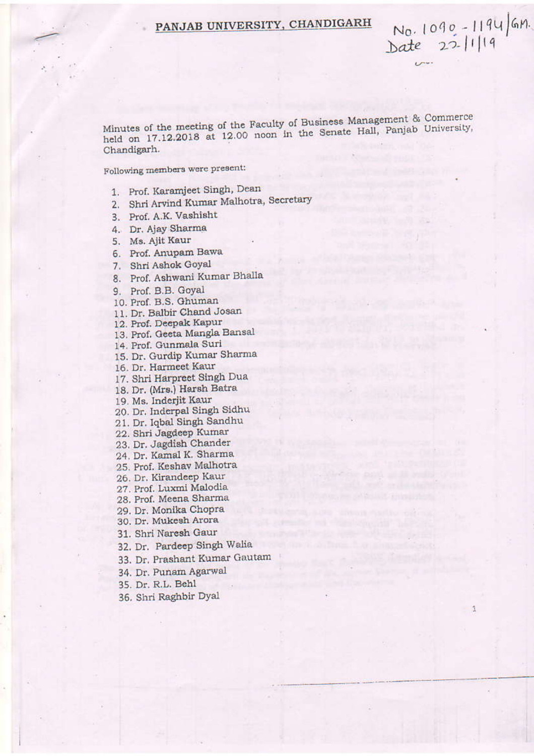# PANJAB UNIVERSITY, CHANDIGARH

Minutes of the meeting of the Faculty of Business Management & Commerce held on 17.12.2018 at 12.00 noon in the Senate Hall, Panjab University, Chandigarh.

 $N_0.1090 - 1194$  / GM.<br>Date 22-11/19

 $\overline{U}$ 

Following members were present:

- 1. Prof. Karamjeet Singh, Dean
- 2. Shri Arvind Kumar Malhotra, Secretary
- 3. Prof. A.K. Vashisht
- 4. Dr. Ajay Sharma
- 5. Ms. Ajit Kaur
- 6. Prof. Anupam Bawa
- 7. Shri Ashok Goyal
- 8. Prof. Ashwani Kumar Bhalla
- 9. Prof. B.B. Goyal
- 10. Prof. B.S. Ghuman
- 11. Dr. Balbir Chand Josan
- 12. Prof. Deepak Kapur
- 13. Prof. Geeta Mangla Bansal
- 14. Prof. Gunmala Suri
- 15. Dr. Gurdip Kumar Sharma
- 16. Dr. Harmeet Kaur
- 17. Shri Harpreet Singh Dua
- 18. Dr. (Mrs.) Harsh Batra
- 19. Ms. Inderjit Kaur
- 20. Dr. Inderpal Singh Sidhu
- 21. Dr. Iqbal Singh Sandhu
- 22. Shri Jagdeep Kumar
- 23. Dr. Jagdish Chander
- 24. Dr. Kamal K. Sharma
- 25. Prof. Keshav Malhotra
- 26. Dr. Kirandeep Kaur
- 27. Prof. Luxmi Malodia
- 28. Prof. Meena Sharma
- 29. Dr. Monika Chopra
- 30. Dr. Mukesh Arora
- 31. Shri Naresh Gaur
- 32. Dr. Pardeep Singh Walia
- 33. Dr. Prashant Kumar Gautam
- 34. Dr. Punam Agarwal
- 35. Dr. R.L. Behl
- 36. Shri Raghbir Dyal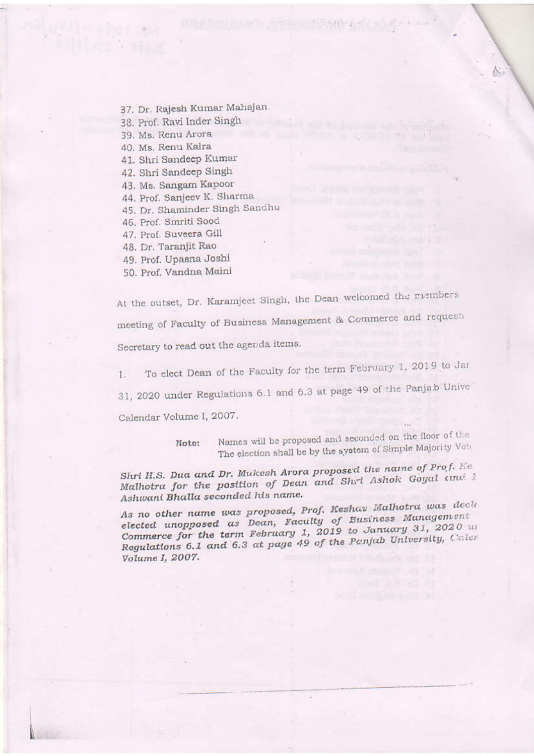37. Dr. Rajesh Kumar Mahajan.

38. Prof. Ravi Inder Singh

39. Ms. Renu Arora

40. Ms. Renu Kalra

41. Shri Sandeep Kumar

42. Shri Sandcep Singh

43. Ms. Sangam Kapoor

44. Prof. Sanjeev K. Sharma

45. Dr. Shaminder Singh Sandhu

46. Prof. Smriti Sood

47. Prof. Suveera Gill

48. Dr. Taranjit Rao

49. Prof. Upasna Joshi

50. Prof. Vandna Maini

At the outset, Dr. Karamjeet Singh, the Dean welcomed the rusmbers meeting of Faculty of Business Management & Commerce and requeste Secretary to read out the agenda items.

To clect Dean of the Faculty for the term February 1, 2019 to Jar 1.

31, 2020 under Regulations 6.1 and 6.3 at page 49 of the Panjab Unive

Calendar Volume I, 2007.

Names will be proposed and seconded on the floor of the Note: The election shall be by the system of Simple Majority Vota

Shrl H.S. Dua and Dr. Mukesh Arora proposed the name of Prof. Ee Malhotra for the position of Dean and Shrt Ashok Goyal and 1 Ashwani Bhalla seconded his name.

As no other name was proposed, Prof. Keshav Malhotra was deck elected unopposed as Dean, Faculty of Business Management Commerce for the term February 1, 2019 to January 31, 2020 us Regulations 6.1 and 6.3 at page 49 of the Panjab University, Caler Volume I, 2007.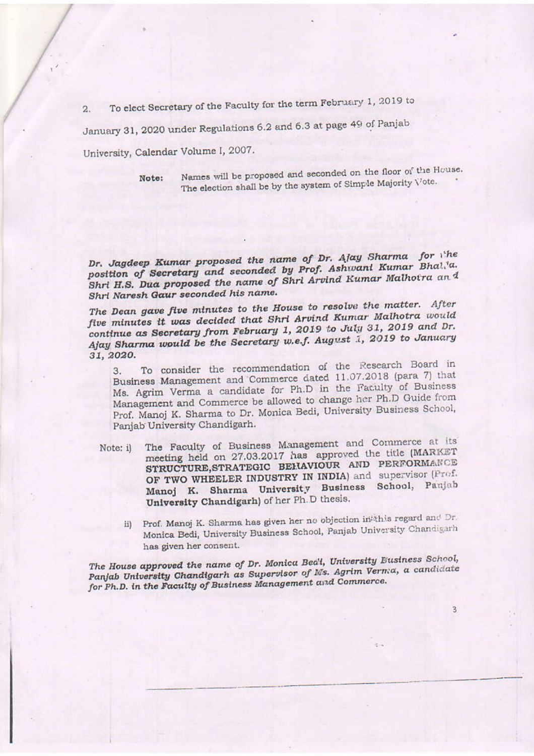To elect Secretary of the Faculty for the term February 1, 2019 to  $2.$ 

January 31, 2020 under Regulations 6.2 and 6.3 at page 49 of Panjab

University, Calendar Volume I, 2007.

Note:

Names will be proposed and seconded on the floor of the House. The election shall be by the system of Simple Majority Vote.

Dr. Jagdeep Kumar proposed the name of Dr. Alay Sharma for the position of Secretary and seconded by Prof. Ashwani Kumar Bhal.'a. Shri H.S. Dua proposed the name of Shri Arvind Kumar Malhotra and Shri Naresh Gaur seconded his name.

The Dean gave five minutes to the House to resolve the matter. After five minutes it was decided that Shri Arvind Kumar Malhotra would continue as Secretary from February 1, 2019 to July 31, 2019 and Dr. Ajay Sharma would be the Secretary w.e.f. August 1, 2019 to January 31, 2020.

To consider the recommendation of the Research Board in  $3.$ Business Management and Commerce dated 11.07.2018 (para 7) that Ms. Agrim Verma a candidate for Ph.D in the Faculty of Business Management and Commerce be allowed to change her Ph.D Guide from Prof. Manoj K. Sharma to Dr. Monica Bedi, University Business School, Panjab University Chandigarh.

- The Faculty of Business Management and Commerce at its Note: il meeting held on 27.03.2017 has approved the title (MARKET STRUCTURE, STRATEGIC BEHAVIOUR AND PERFORMANCE OF TWO WHEELER INDUSTRY IN INDIA) and supervisor (Prof. Manoj K. Sharma University Business School, Panjab University Chandigarh) of her Ph.D thesis.
	- Prof. Manoj K. Sharma has given her no objection in this regard and Dr. ii) Monica Bedi, University Business School, Panjab University Chandigarh has given her consent.

3

The House approved the name of Dr. Monica Beal, University Eusiness School, Panjab University Chandigarh as Supervisor of Ms. Agrim Verma, a candidate for Ph.D. in the Faculty of Business Management and Commerce.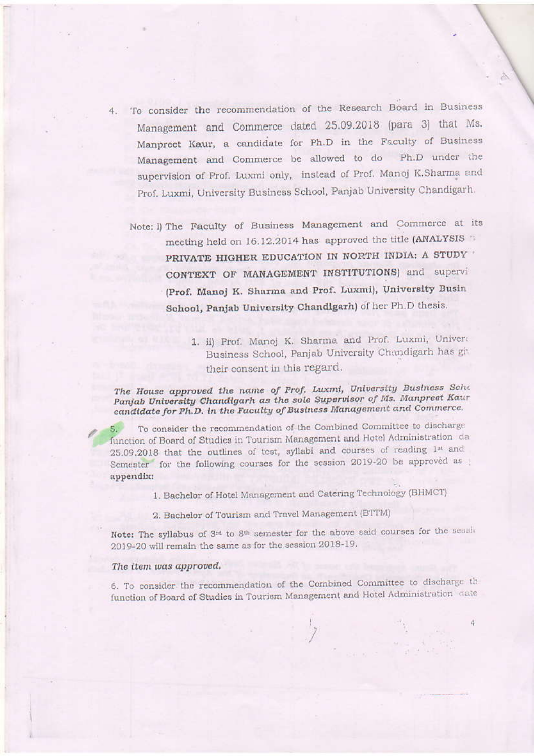- 4. To consider the recommendation of the Research Board in Business Management and Commerce dated 25.09.2018 (para 3) that Ms. Manpreet Kaur, a candidate for Ph.D in the Faculty of Business Management and Commerce be allowed to do Ph.D under the supervision of Prof. Luxmi only, instead of Prof. Manoj K.Sharma and Prof. Luxmi, University Business School, Panjab University Chandigarh.
	- Note: i) The Faculty of Business Management and Commerce at its meeting held on 16.12.2014 has approved the title (ANALYSIS PRIVATE HIGHER EDUCATION IN NORTH INDIA: A STUDY ' CONTEXT OF MANAGEMENT INSTITUTIONS) and supervi (Prof. Manoj K. Sharma and Prof. Luxmi), University Busin School, Panjab University Chandigarh) of her Ph.D thesis.
		- 1. ii) Prof. Manoj K. Sharma and Prof. Luxmi, Univera Business School, Panjab University Chandigarh has given their consent in this regard.

The House approved the name of Prof. Luxmi, University Business Scho Panjab University Chandigarh as the sole Supervisor of Ms. Manpreet Kaur candidate for Ph.D. in the Faculty of Business Management and Commerce.

To consider the recommendation of the Combined Committee to discharge function of Board of Studies in Tourism Management and Hotel Administration da 25.09,2018 that the outlines of test, syllabi and courses of reading 1st and Semester for the following courses for the session 2019-20 be approved as appendix:

1. Bachelor of Hotel Management and Catering Technology (BHMCT)

2. Bachelor of Tourism and Travel Management (BTTM)

Note: The syllabus of 3rd to 8th semester for the above said courses for the seash 2019-20 will remain the same as for the session 2018-19.

#### The item was approved.

6. To consider the recommendation of the Combined Committee to discharge the function of Board of Studies in Tourism Management and Hotel Administration date

4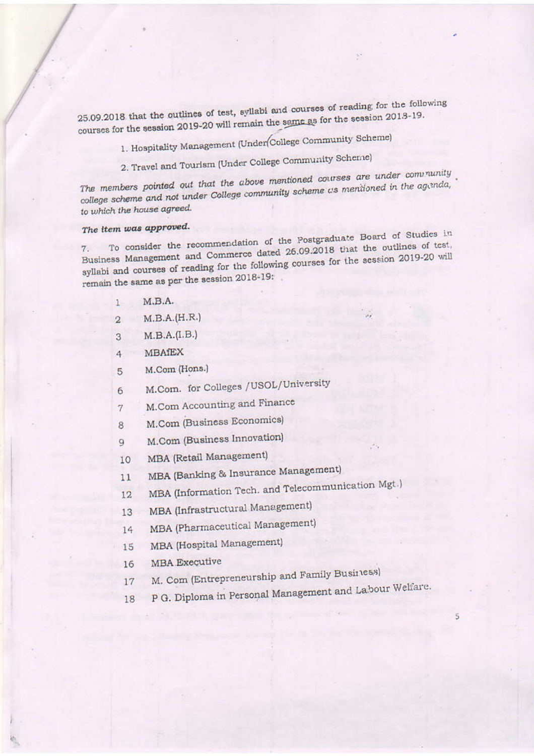25.09.2018 that the outlines of test, syllabi and courses of reading for the following courses for the session 2019-20 will remain the same as for the session 2013-19.

- 1. Hospitality Management (Under College Community Scheme)
- 2. Travel and Tourism (Under College Community Scheme)

The members pointed out that the above mentioned courses are under community college scheme and not under College community scheme as mentioned in the agenda, to which the house agreed.

# The item was approved.

To consider the recommendation of the Postgraduate Board of Studies in Business Management and Commerce dated 26.09.2018 that the outlines of test, syllabi and courses of reading for the following courses for the session 2019-20 will remain the same as per the session 2018-19:

- $M.B.A.$ 1
- $M.B.A.(H.R.)$  $\overline{2}$
- $M.B.A.(I.B.)$ 3
- **MBAfEX**  $\overline{4}$
- M.Com (Hons.)  $\overline{5}$
- M.Com. for Colleges / USOL/University 6
- M.Com Accounting and Finance  $\overline{7}$
- M.Com (Business Economics) 8
- M.Com (Business Innovation)  $Q$
- MBA (Retail Management) 10

MBA (Banking & Insurance Management)  $11$ 

MBA (Information Tech. and Telecommunication Mgt.) 12

MBA (Infrastructural Management) 13

MBA (Pharmaceutical Management) 14

- MBA (Hospital Management) 15
- **MBA** Executive 16
- M. Com (Entrepreneurship and Family Business) 17
- P G. Diploma in Personal Management and Labour Welfare. 18

 $\vec{5}$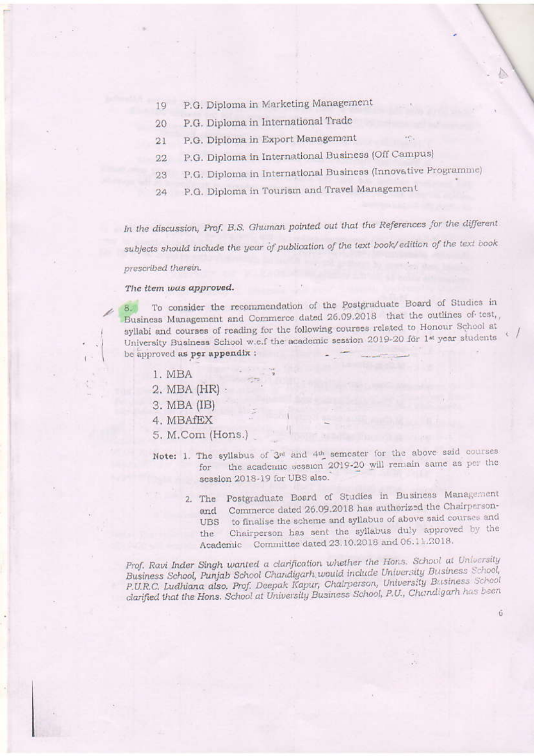- P.G. Diploma in Marketing Management 19
- P.G. Diploma in International Trade 20
- P.G. Diploma in Export Management  $21$
- P.G. Diploma in International Business (Off Campus)  $22$
- P.G. Diploma in International Business (Innovative Programme) 23
- P.G. Diploma in Tourism and Travel Management 24

In the discussion, Prof. B.S. Ghuman pointed out that the References for the different subjects should include the year of publication of the text book/edition of the text book prescribed therein.

#### The item was approved.

To consider the recommendation of the Postgraduate Board of Studies in  $8.5$ Business Management and Commerce dated 26.09.2018 that the outlines of test, syllabi and courses of reading for the following courses related to Honour School at University Business School w.e.f the academic session 2019-20 for 1st year students be approved as per appendix :

- 1. MBA
- 2. MBA (HR) ·
- 3. MBA (IB)
- 4. MBAfEX
- 5. M.Com (Hons.)
- Note: 1. The syllabus of 3rd and 4th semester for the above said courses the academic session 2019-20 will remain same as per the for session 2018-19 for UBS also.
	- 2. The Postgraduate Board of Studies in Business Management and Commerce dated 26.09.2018 has authorized the Chairpersonto finalise the scheme and syllabus of above said courses and **UBS** Chairperson has sent the syllabus duly approved by the the Academic Committee dated 23.10.2018 and 06.11.2018.

6

Prof. Ravi Inder Singh wanted a clarification whether the Hons. School at University Business School, Punjab School Chandigarh would include University Business School, P.U.R.C. Ludhiana also. Prof. Deepak Kapur, Chairperson, University Business School clarified that the Hons. School at University Business School, P.U., Chandigarh has been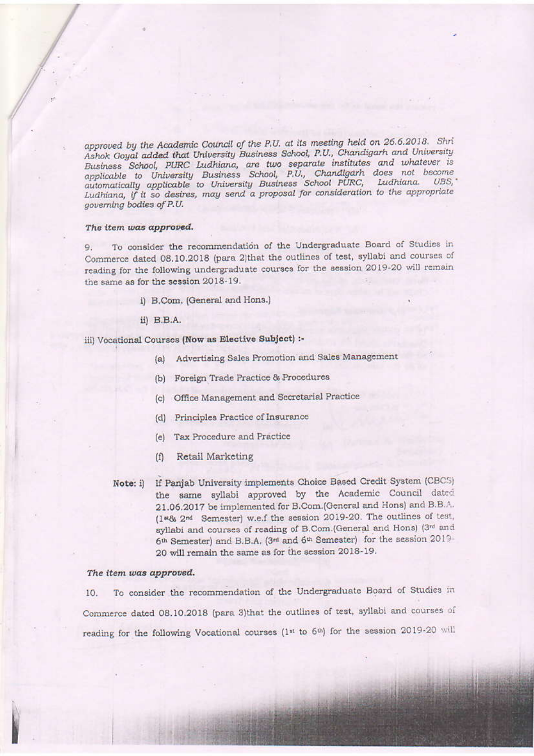approved by the Academic Council of the P.U. at its meeting held on 26.6.2018. Shri Ashok Goyal added that University Business School, P.U., Chandigarh and University Business School, PURC Ludhiana, are two separate institutes and whatever is applicable to University Business School, P.U., Chandigarh does not become automatically applicable to University Business School PURC, Ludhiana. UBS, Ludhiana, if it so desires, may send a proposal for consideration to the appropriate aoverning bodies of P.U.

#### The item was approved.

To consider the recommendation of the Undergraduate Board of Studies in 9. Commerce dated 08.10.2018 (para 2)that the outlines of test, syllabi and courses of reading for the following undergraduate courses for the session 2019-20 will remain the same as for the session 2018-19.

- i) B.Com. (General and Hons.)
- ii) B.B.A.

## iii) Vocational Courses (Now as Elective Subject) :-

- (a) Advertising Sales Promotion and Sales Management
- (b) Foreign Trade Practice & Procedures
- (c) Office Management and Secretarial Practice
- (d) Principles Practice of Insurance
- (e) Tax Procedure and Practice
- Retail Marketing  $(f)$
- If Panjab University implements Choice Based Credit System (CBCS)  $Note: i)$ the same syllabi approved by the Academic Council dated 21.06.2017 be implemented for B.Com.(General and Hons) and B.B.A. (1\*86 2<sup>nd</sup> Semester) w.e.f the session 2019-20. The outlines of test, syllabi and courses of reading of B.Com.(General and Hons) (3rd and 6th Semester) and B.B.A. (3rd and 6th Semester) for the session 2019-20 will remain the same as for the session 2018-19.

#### The item was approved.

To consider the recommendation of the Undergraduate Board of Studies in 10. Commerce dated 08.10.2018 (para 3)that the outlines of test, syllabi and courses of reading for the following Vocational courses (1st to 6th) for the session 2019-20 will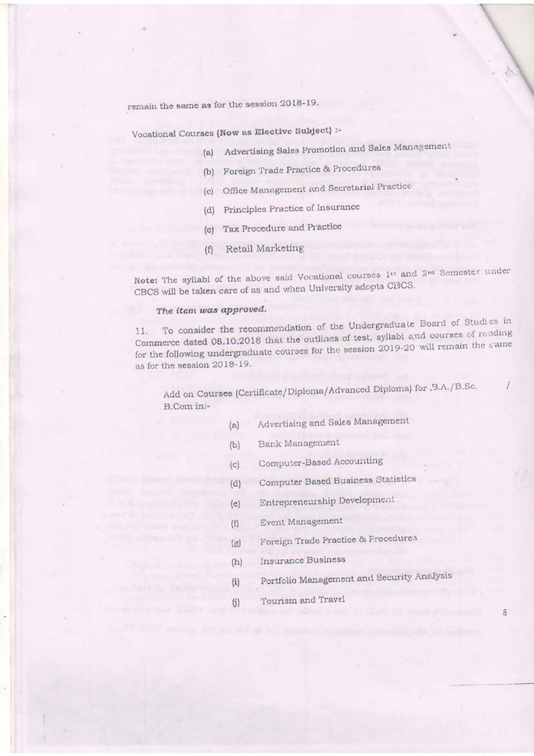remain the same as for the session 2018-19.

Vocational Courses (Now as Elective Subject) :-

- (a) Advertising Sales Promotion and Sales Management
- (b) Foreign Trade Practice & Procedures
- (c) Office Management and Secretarial Practice
- (d) Principles Practice of Insurance
- (c) Tax Procedure and Practice
- (f) Retail Marketing

Note: The syllabi of the above said Vocational courses 1st and 2nd Semester under CBCS will be taken care of as and when University adopts CBCS.

## The item was approved.

To consider the recommendation of the Undergraduate Board of Studies in 11. Commerce dated 08.10.2018 that the outlines of test, syllabi and courses of reading for the following undergraduate courses for the session 2019-20 will remain the stame as for the session 2018-19.

Add on Courses (Certificate/Diploma/Advanced Diploma) for , B.A./B.Sc. B.Com int-

- Advertising and Sales Management  $(a)$
- Bank Management  $(b)$
- Computer-Based Accounting  $(c)$
- Computer Based Business Statistics  $(d)$
- Entrepreneurship Development  $(e)$
- Event Management  $(f)$
- Foreign Trade Practice & Frocedures  $(g)$
- **Insurance Business**  $(h)$
- Portfolio Management and Security Analysis  $(i)$
- Tourism and Travel  $(i)$